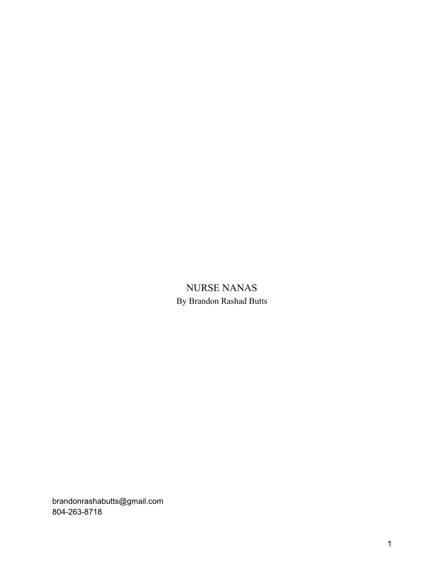# NURSE NANAS By Brandon Rashad Butts

brandonrashabutts@gmail.com 804-263-8718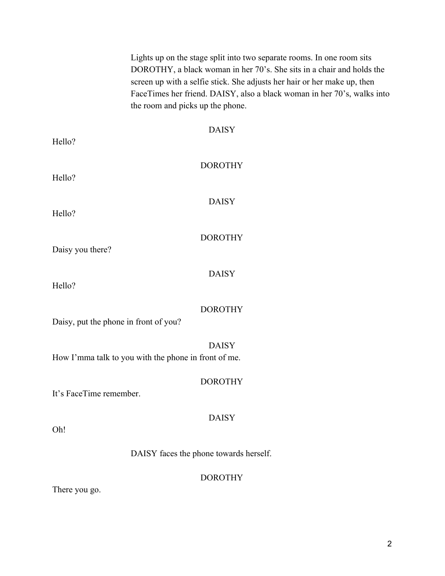|                                       | Lights up on the stage split into two separate rooms. In one room sits<br>DOROTHY, a black woman in her 70's. She sits in a chair and holds the<br>screen up with a selfie stick. She adjusts her hair or her make up, then<br>FaceTimes her friend. DAISY, also a black woman in her 70's, walks into<br>the room and picks up the phone. |
|---------------------------------------|--------------------------------------------------------------------------------------------------------------------------------------------------------------------------------------------------------------------------------------------------------------------------------------------------------------------------------------------|
| Hello?                                | <b>DAISY</b>                                                                                                                                                                                                                                                                                                                               |
| Hello?                                | <b>DOROTHY</b>                                                                                                                                                                                                                                                                                                                             |
| Hello?                                | <b>DAISY</b>                                                                                                                                                                                                                                                                                                                               |
| Daisy you there?                      | <b>DOROTHY</b>                                                                                                                                                                                                                                                                                                                             |
| Hello?                                | <b>DAISY</b>                                                                                                                                                                                                                                                                                                                               |
| Daisy, put the phone in front of you? | <b>DOROTHY</b>                                                                                                                                                                                                                                                                                                                             |
|                                       | <b>DAISY</b><br>How I'mma talk to you with the phone in front of me.                                                                                                                                                                                                                                                                       |
| It's FaceTime remember.               | <b>DOROTHY</b>                                                                                                                                                                                                                                                                                                                             |
| Oh!                                   | <b>DAISY</b>                                                                                                                                                                                                                                                                                                                               |
|                                       | DAISY faces the phone towards herself.                                                                                                                                                                                                                                                                                                     |
|                                       | <b>DOROTHY</b>                                                                                                                                                                                                                                                                                                                             |

There you go.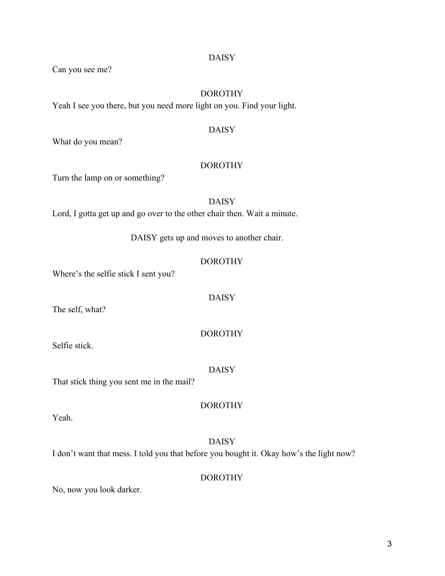Can you see me?

# DOROTHY

Yeah I see you there, but you need more light on you. Find your light.

## DAISY

What do you mean?

## DOROTHY

Turn the lamp on or something?

## DAISY

Lord, I gotta get up and go over to the other chair then. Wait a minute.

DAISY gets up and moves to another chair.

## DOROTHY

DAISY

Where's the selfie stick I sent you?

The self, what?

DOROTHY

Selfie stick.

DAISY

DOROTHY

That stick thing you sent me in the mail?

Yeah.

DAISY I don't want that mess. I told you that before you bought it. Okay how's the light now?

DOROTHY

No, now you look darker.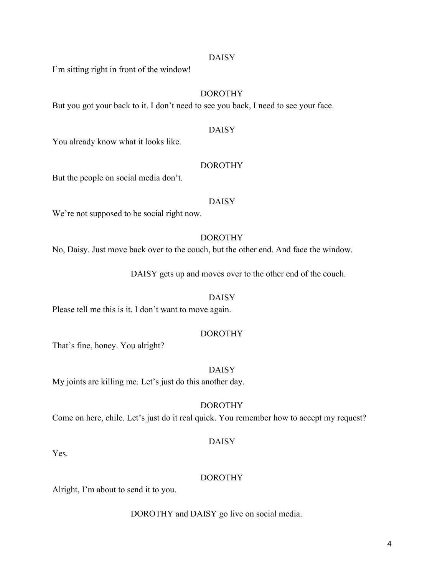I'm sitting right in front of the window!

# DOROTHY

But you got your back to it. I don't need to see you back, I need to see your face.

#### DAISY

You already know what it looks like.

#### DOROTHY

But the people on social media don't.

#### DAISY

We're not supposed to be social right now.

## DOROTHY

No, Daisy. Just move back over to the couch, but the other end. And face the window.

DAISY gets up and moves over to the other end of the couch.

#### DAISY

Please tell me this is it. I don't want to move again.

#### DOROTHY

That's fine, honey. You alright?

#### DAISY

My joints are killing me. Let's just do this another day.

#### DOROTHY

Come on here, chile. Let's just do it real quick. You remember how to accept my request?

## DAISY

Yes.

## DOROTHY

Alright, I'm about to send it to you.

DOROTHY and DAISY go live on social media.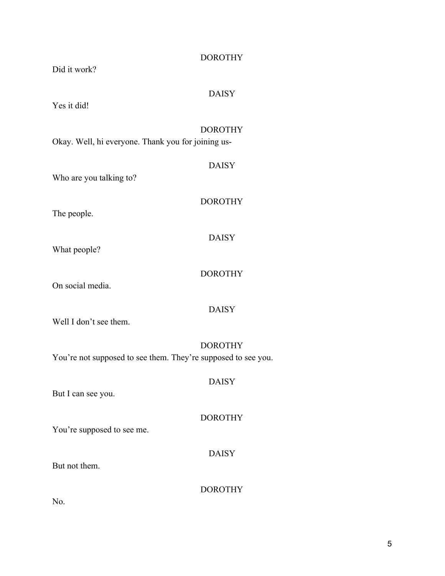| <b>DOROTHY</b><br>Did it work?                                                  |
|---------------------------------------------------------------------------------|
| <b>DAISY</b><br>Yes it did!                                                     |
| <b>DOROTHY</b><br>Okay. Well, hi everyone. Thank you for joining us-            |
| <b>DAISY</b><br>Who are you talking to?                                         |
| <b>DOROTHY</b><br>The people.                                                   |
| <b>DAISY</b><br>What people?                                                    |
| <b>DOROTHY</b><br>On social media.                                              |
| <b>DAISY</b><br>Well I don't see them.                                          |
| <b>DOROTHY</b><br>You're not supposed to see them. They're supposed to see you. |
| <b>DAISY</b><br>But I can see you.                                              |
| <b>DOROTHY</b><br>You're supposed to see me.                                    |
| <b>DAISY</b><br>But not them.                                                   |
| <b>DOROTHY</b><br><b>NT</b>                                                     |

No.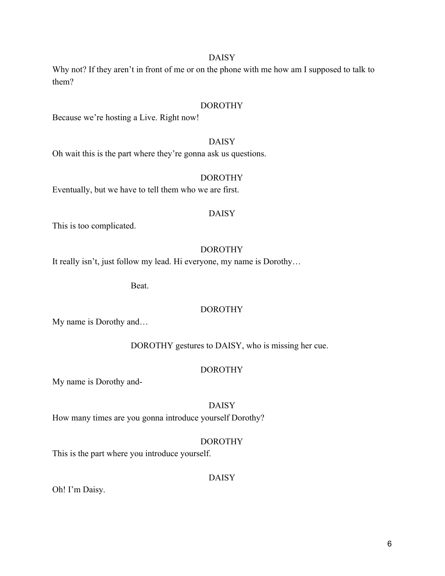Why not? If they aren't in front of me or on the phone with me how am I supposed to talk to them?

#### DOROTHY

Because we're hosting a Live. Right now!

## DAISY

Oh wait this is the part where they're gonna ask us questions.

#### DOROTHY

Eventually, but we have to tell them who we are first.

#### DAISY

This is too complicated.

## DOROTHY

It really isn't, just follow my lead. Hi everyone, my name is Dorothy…

Beat.

## DOROTHY

My name is Dorothy and…

DOROTHY gestures to DAISY, who is missing her cue.

#### DOROTHY

My name is Dorothy and-

#### DAISY

How many times are you gonna introduce yourself Dorothy?

## DOROTHY

This is the part where you introduce yourself.

## DAISY

Oh! I'm Daisy.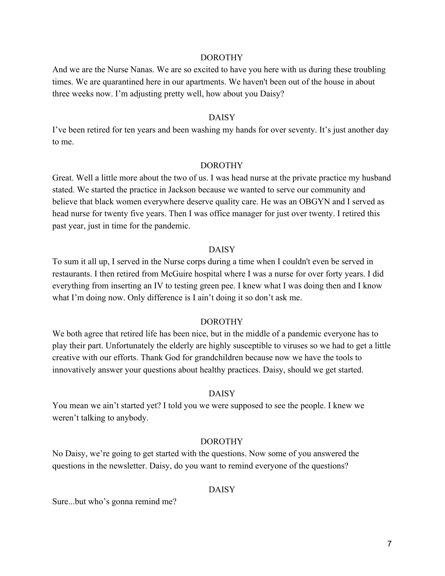And we are the Nurse Nanas. We are so excited to have you here with us during these troubling times. We are quarantined here in our apartments. We haven't been out of the house in about three weeks now. I'm adjusting pretty well, how about you Daisy?

#### DAISY

I've been retired for ten years and been washing my hands for over seventy. It's just another day to me.

#### DOROTHY

Great. Well a little more about the two of us. I was head nurse at the private practice my husband stated. We started the practice in Jackson because we wanted to serve our community and believe that black women everywhere deserve quality care. He was an OBGYN and I served as head nurse for twenty five years. Then I was office manager for just over twenty. I retired this past year, just in time for the pandemic.

#### DAISY

To sum it all up, I served in the Nurse corps during a time when I couldn't even be served in restaurants. I then retired from McGuire hospital where I was a nurse for over forty years. I did everything from inserting an IV to testing green pee. I knew what I was doing then and I know what I'm doing now. Only difference is I ain't doing it so don't ask me.

## DOROTHY

We both agree that retired life has been nice, but in the middle of a pandemic everyone has to play their part. Unfortunately the elderly are highly susceptible to viruses so we had to get a little creative with our efforts. Thank God for grandchildren because now we have the tools to innovatively answer your questions about healthy practices. Daisy, should we get started.

#### DAISY

You mean we ain't started yet? I told you we were supposed to see the people. I knew we weren't talking to anybody.

#### DOROTHY

No Daisy, we're going to get started with the questions. Now some of you answered the questions in the newsletter. Daisy, do you want to remind everyone of the questions?

## DAISY

Sure...but who's gonna remind me?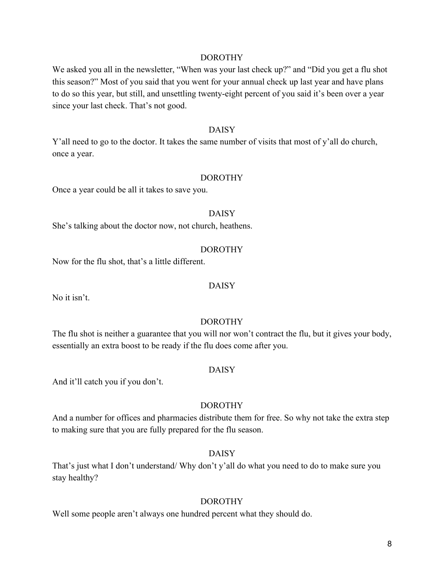We asked you all in the newsletter, "When was your last check up?" and "Did you get a flu shot this season?" Most of you said that you went for your annual check up last year and have plans to do so this year, but still, and unsettling twenty-eight percent of you said it's been over a year since your last check. That's not good.

#### DAISY

Y'all need to go to the doctor. It takes the same number of visits that most of y'all do church, once a year.

#### DOROTHY

Once a year could be all it takes to save you.

#### DAISY

She's talking about the doctor now, not church, heathens.

#### DOROTHY

Now for the flu shot, that's a little different.

#### DAISY

No it isn't.

## DOROTHY

The flu shot is neither a guarantee that you will nor won't contract the flu, but it gives your body, essentially an extra boost to be ready if the flu does come after you.

## DAISY

And it'll catch you if you don't.

## DOROTHY

And a number for offices and pharmacies distribute them for free. So why not take the extra step to making sure that you are fully prepared for the flu season.

## DAISY

That's just what I don't understand/ Why don't y'all do what you need to do to make sure you stay healthy?

## DOROTHY

Well some people aren't always one hundred percent what they should do.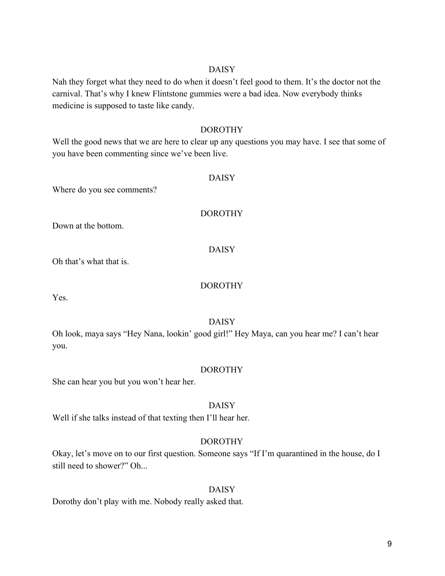Nah they forget what they need to do when it doesn't feel good to them. It's the doctor not the carnival. That's why I knew Flintstone gummies were a bad idea. Now everybody thinks medicine is supposed to taste like candy.

## DOROTHY

Well the good news that we are here to clear up any questions you may have. I see that some of you have been commenting since we've been live.

## DAISY

Where do you see comments?

## DOROTHY

Down at the bottom.

DAISY

Oh that's what that is.

## DOROTHY

Yes.

# DAISY

Oh look, maya says "Hey Nana, lookin' good girl!" Hey Maya, can you hear me? I can't hear you.

## DOROTHY

She can hear you but you won't hear her.

# DAISY

Well if she talks instead of that texting then I'll hear her.

# DOROTHY

Okay, let's move on to our first question. Someone says "If I'm quarantined in the house, do I still need to shower?" Oh...

## DAISY

Dorothy don't play with me. Nobody really asked that.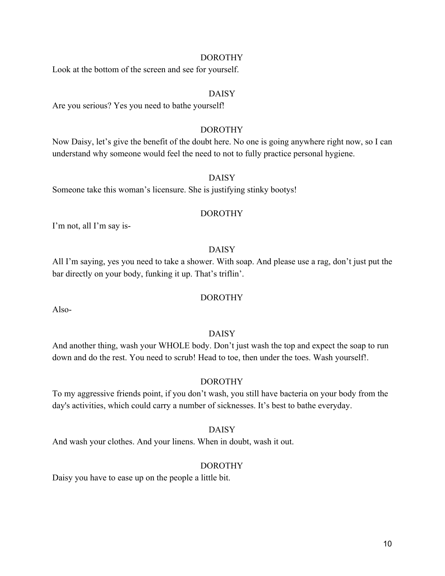Look at the bottom of the screen and see for yourself.

## DAISY

Are you serious? Yes you need to bathe yourself!

## DOROTHY

Now Daisy, let's give the benefit of the doubt here. No one is going anywhere right now, so I can understand why someone would feel the need to not to fully practice personal hygiene.

#### DAISY

Someone take this woman's licensure. She is justifying stinky bootys!

#### DOROTHY

I'm not, all I'm say is-

## DAISY

All I'm saying, yes you need to take a shower. With soap. And please use a rag, don't just put the bar directly on your body, funking it up. That's triflin'.

## DOROTHY

Also-

## DAISY

And another thing, wash your WHOLE body. Don't just wash the top and expect the soap to run down and do the rest. You need to scrub! Head to toe, then under the toes. Wash yourself!.

#### DOROTHY

To my aggressive friends point, if you don't wash, you still have bacteria on your body from the day's activities, which could carry a number of sicknesses. It's best to bathe everyday.

#### DAISY

And wash your clothes. And your linens. When in doubt, wash it out.

## DOROTHY

Daisy you have to ease up on the people a little bit.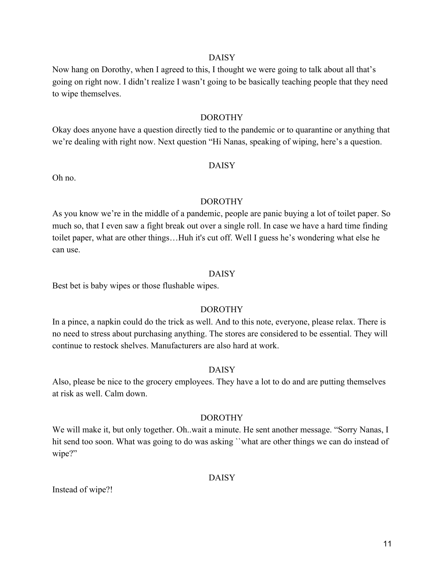Now hang on Dorothy, when I agreed to this, I thought we were going to talk about all that's going on right now. I didn't realize I wasn't going to be basically teaching people that they need to wipe themselves.

#### DOROTHY

Okay does anyone have a question directly tied to the pandemic or to quarantine or anything that we're dealing with right now. Next question "Hi Nanas, speaking of wiping, here's a question.

#### DAISY

Oh no.

## DOROTHY

As you know we're in the middle of a pandemic, people are panic buying a lot of toilet paper. So much so, that I even saw a fight break out over a single roll. In case we have a hard time finding toilet paper, what are other things...Huh it's cut off. Well I guess he's wondering what else he can use.

#### DAISY

Best bet is baby wipes or those flushable wipes.

## DOROTHY

In a pince, a napkin could do the trick as well. And to this note, everyone, please relax. There is no need to stress about purchasing anything. The stores are considered to be essential. They will continue to restock shelves. Manufacturers are also hard at work.

## DAISY

Also, please be nice to the grocery employees. They have a lot to do and are putting themselves at risk as well. Calm down.

#### DOROTHY

We will make it, but only together. Oh..wait a minute. He sent another message. "Sorry Nanas, I hit send too soon. What was going to do was asking "what are other things we can do instead of wipe?"

#### DAISY

Instead of wipe?!